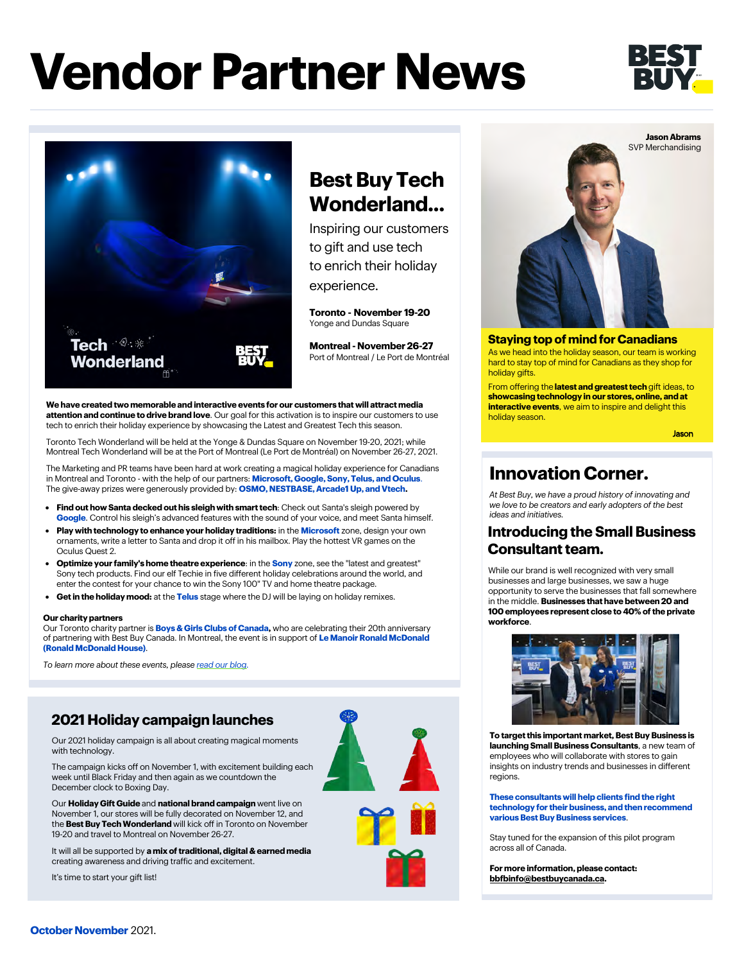# **Vendor Partner News**





## **Best Buy Tech Wonderland...**

Inspiring our customers to gift and use tech to enrich their holiday experience.

**Toronto - November 19-20** Yonge and Dundas Square

**Montreal - November 26-27** Port of Montreal / Le Port de Montréal

**We have created two memorable and interactive events for our customers that will attract media attention and continue to drive brand love**. Our goal for this activation is to inspire our customers to use tech to enrich their holiday experience by showcasing the Latest and Greatest Tech this season.

**Washington Tech Wonderland will be held at the Yonge & Dundas Square on November 19-20, 2021; while <b>State of the Wonderland will be held at the Yonge & Dundas Square on November 19-20, 2021; while** Montreal Tech Wonderland will be at the Port of Montreal (Le Port de Montréal) on November 26-27, 2021.

> The Marketing and PR teams have been hard at work creating a magical holiday experience for Canadians in Montreal and Toronto - with the help of our partners: **Microsoft, Google, Sony, Telus, and Oculus**. The give-away prizes were generously provided by: **OSMO, NESTBASE, Arcade1 Up, and Vtech.**

- **Find out how Santa decked out his sleigh with smart tech**: Check out Santa's sleigh powered by **Google**. Control his sleigh's advanced features with the sound of your voice, and meet Santa himself.
- **Play with technology to enhance your holiday traditions:** in the **Microsoft** zone, design your own ornaments, write a letter to Santa and drop it off in his mailbox. Play the hottest VR games on the Oculus Quest 2.
- **Optimize your family's home theatre experience**: in the **Sony** zone, see the "latest and greatest" Sony tech products. Find our elf Techie in five different holiday celebrations around the world, and enter the contest for your chance to win the Sony 100" TV and home theatre package.
- **Get in the holiday mood:** at the **Telus** stage where the DJ will be laying on holiday remixes.

#### **Our charity partners**

Our Toronto charity partner is **Boys & Girls Clubs of Canada,** who are celebrating their 20th anniversary of partnering with Best Buy Canada. In Montreal, the event is in support of **Le Manoir Ronald McDonald (Ronald McDonald House)**.

*To learn more about these events, please [read our blog.](https://blog.bestbuy.ca/?p=239505)*

### **2021 Holiday campaign launches**

Our 2021 holiday campaign is all about creating magical moments with technology.

The campaign kicks off on November 1, with excitement building each week until Black Friday and then again as we countdown the December clock to Boxing Day.

Our **Holiday Gift Guide** and **national brand campaign** went live on November 1, our stores will be fully decorated on November 12, and the **Best Buy Tech Wonderland** will kick off in Toronto on November 19-20 and travel to Montreal on November 26-27.

It will all be supported by **a mix of traditional, digital & earned media** creating awareness and driving traffic and excitement.

It's time to start your gift list!





### **Staying top of mind for Canadians**

As we head into the holiday season, our team is working hard to stay top of mind for Canadians as they shop for holiday gifts.

From offering the **latest and greatest tech** gift ideas, to **showcasing technology in our stores, online, and at interactive events**, we aim to inspire and delight this holiday season.

### **Innovation Corner.**

*At Best Buy, we have a proud history of innovating and we love to be creators and early adopters of the best ideas and initiatives.*

### **Introducing the Small Business Consultant team.**

While our brand is well recognized with very small businesses and large businesses, we saw a huge opportunity to serve the businesses that fall somewhere in the middle. **Businesses that have between 20 and 100 employees represent close to 40% of the private workforce**.



**To target this important market, Best Buy Business is launching Small Business Consultants**, a new team of employees who will collaborate with stores to gain insights on industry trends and businesses in different regions.

#### **These consultants will help clients find the right technology for their business, and then recommend various Best Buy Business services**.

Stay tuned for the expansion of this pilot program across all of Canada.

**For more information, please contact: [bbfbinfo@bestbuycanada.ca.](mailto:bbfbinfo@bestbuycanada.ca)**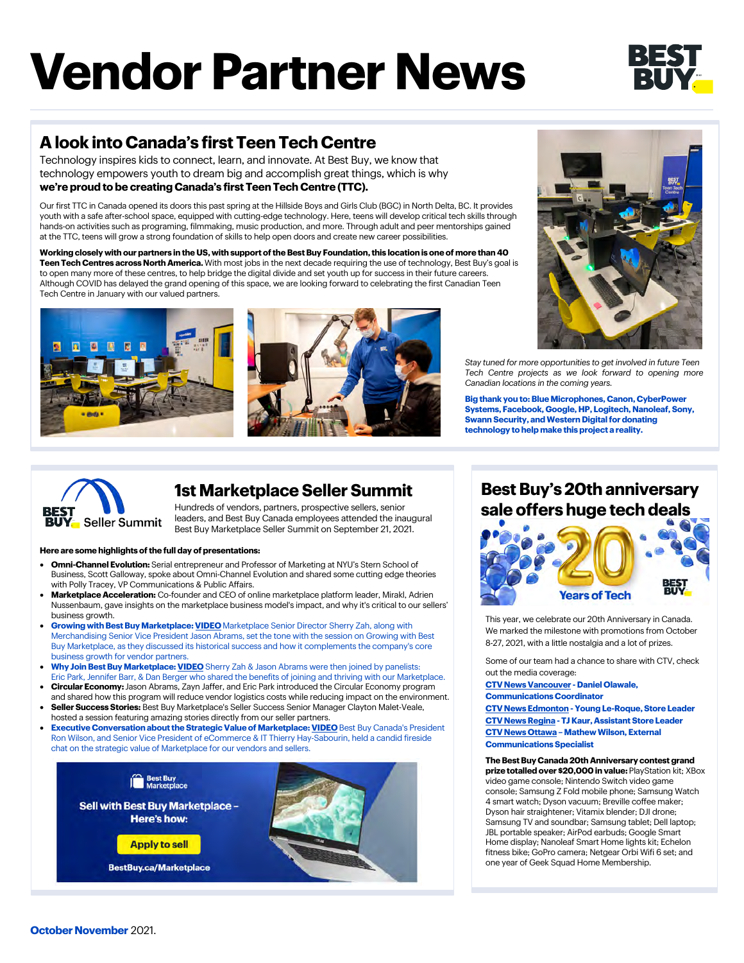# **Vendor Partner News**

## **A look into Canada's first Teen Tech Centre**

Technology inspires kids to connect, learn, and innovate. At Best Buy, we know that technology empowers youth to dream big and accomplish great things, which is why **we're proud to be creating Canada's first Teen Tech Centre (TTC).** 

Our first TTC in Canada opened its doors this past spring at the Hillside Boys and Girls Club (BGC) in North Delta, BC. It provides youth with a safe after-school space, equipped with cutting-edge technology. Here, teens will develop critical tech skills through hands-on activities such as programing, filmmaking, music production, and more. Through adult and peer mentorships gained at the TTC, teens will grow a strong foundation of skills to help open doors and create new career possibilities.

**Working closely with our partners in the US, with support of the Best Buy Foundation, this location is one of more than 40 Teen Tech Centres across North America.** With most jobs in the next decade requiring the use of technology, Best Buy's goal is to open many more of these centres, to help bridge the digital divide and set youth up for success in their future careers. Although COVID has delayed the grand opening of this space, we are looking forward to celebrating the first Canadian Teen Tech Centre in January with our valued partners.





*Stay tuned for more opportunities to get involved in future Teen Tech Centre projects as we look forward to opening more Canadian locations in the coming years.* 

**Big thank you to: Blue Microphones, Canon, CyberPower Systems, Facebook, Google, HP, Logitech, Nanoleaf, Sony, Swann Security, and Western Digital for donating technology to help make this project a reality.**



### **1st Marketplace Seller Summit**

Hundreds of vendors, partners, prospective sellers, senior leaders, and Best Buy Canada employees attended the inaugural Best Buy Marketplace Seller Summit on September 21, 2021.

### **Here are some highlights of the full day of presentations:**

- **Omni-Channel Evolution:** Serial entrepreneur and Professor of Marketing at NYU's Stern School of Business, Scott Galloway, spoke about Omni-Channel Evolution and shared some cutting edge theories with Polly Tracey, VP Communications & Public Affairs.
- **Marketplace Acceleration:** Co-founder and CEO of online marketplace platform leader, Mirakl, Adrien Nussenbaum, gave insights on the marketplace business model's impact, and why it's critical to our sellers' business growth.
- **Growing with Best Buy Marketplace: [VIDEO](https://partners.bestbuy.com/canada/marketplace)** Marketplace Senior Director Sherry Zah, along with Merchandising Senior Vice President Jason Abrams, set the tone with the session on Growing with Best Buy Marketplace, as they discussed its historical success and how it complements the company's core business growth for vendor partners.
- **Why Join Best Buy Marketplace: [VIDEO](https://partners.bestbuy.com/canada/marketplace)** Sherry Zah & Jason Abrams were then joined by panelists: Eric Park, Jennifer Barr, & Dan Berger who shared the benefits of joining and thriving with our Marketplace.
- **Circular Economy:** Jason Abrams, Zayn Jaffer, and Eric Park introduced the Circular Economy program and shared how this program will reduce vendor logistics costs while reducing impact on the environment.
- **Seller Success Stories:** Best Buy Marketplace's Seller Success Senior Manager Clayton Malet-Veale, hosted a session featuring amazing stories directly from our seller partners.
- **Executive Conversation about the Strategic Value of Marketplace: [VIDEO](https://partners.bestbuy.com/canada/marketplace)** Best Buy Canada's President Ron Wilson, and Senior Vice President of eCommerce & IT Thierry Hay-Sabourin, held a candid fireside chat on the strategic value of Marketplace for our vendors and sellers.



### **Best Buy's 20th anniversary sale offers huge tech deals**



This year, we celebrate our 20th Anniversary in Canada. We marked the milestone with promotions from October 8-27, 2021, with a little nostalgia and a lot of prizes.

Some of our team had a chance to share with CTV, check out the media coverage:

**[CTV News Vancouver](https://bc.ctvnews.ca/video?clipId=2306684&binId=1.1184756&playlistPageNum=1) - Daniel Olawale,** 

**Communications Coordinator**

**[CTV News Edmonton](https://edmonton.ctvnews.ca/video?clipId=2297045&binId=1.1203468&playlistPageNum=1) - Young Le-Roque, Store Leader [CTV News Regina -](https://regina.ctvnews.ca/video?clipId=2296468&binId=1.1167267&playlistPageNum=1) TJ Kaur, Assistant Store Leader [CTV News Ottawa –](https://ottawa.ctvnews.ca/video?clipId=2296331) Mathew Wilson, External Communications Specialist**

**The Best Buy Canada 20th Anniversary contest grand prize totalled over \$20,000 in value:** PlayStation kit; XBox video game console; Nintendo Switch video game console; Samsung Z Fold mobile phone; Samsung Watch 4 smart watch; Dyson vacuum; Breville coffee maker; Dyson hair straightener; Vitamix blender; DJI drone; Samsung TV and soundbar; Samsung tablet; Dell laptop; JBL portable speaker; AirPod earbuds; Google Smart Home display; Nanoleaf Smart Home lights kit; Echelon fitness bike; GoPro camera; Netgear Orbi Wifi 6 set; and one year of Geek Squad Home Membership.

**October November** 2021.